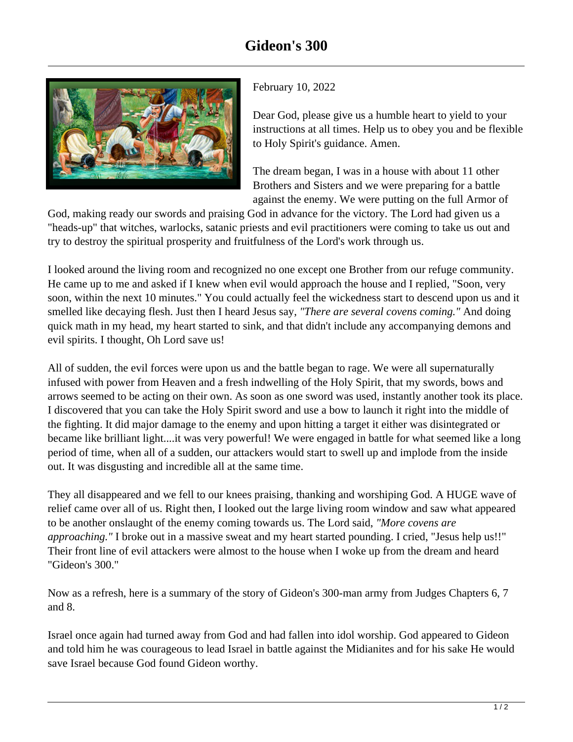

February 10, 2022

Dear God, please give us a humble heart to yield to your instructions at all times. Help us to obey you and be flexible to Holy Spirit's guidance. Amen.

The dream began, I was in a house with about 11 other Brothers and Sisters and we were preparing for a battle against the enemy. We were putting on the full Armor of

God, making ready our swords and praising God in advance for the victory. The Lord had given us a "heads-up" that witches, warlocks, satanic priests and evil practitioners were coming to take us out and try to destroy the spiritual prosperity and fruitfulness of the Lord's work through us.

I looked around the living room and recognized no one except one Brother from our refuge community. He came up to me and asked if I knew when evil would approach the house and I replied, "Soon, very soon, within the next 10 minutes." You could actually feel the wickedness start to descend upon us and it smelled like decaying flesh. Just then I heard Jesus say, *"There are several covens coming."* And doing quick math in my head, my heart started to sink, and that didn't include any accompanying demons and evil spirits. I thought, Oh Lord save us!

All of sudden, the evil forces were upon us and the battle began to rage. We were all supernaturally infused with power from Heaven and a fresh indwelling of the Holy Spirit, that my swords, bows and arrows seemed to be acting on their own. As soon as one sword was used, instantly another took its place. I discovered that you can take the Holy Spirit sword and use a bow to launch it right into the middle of the fighting. It did major damage to the enemy and upon hitting a target it either was disintegrated or became like brilliant light....it was very powerful! We were engaged in battle for what seemed like a long period of time, when all of a sudden, our attackers would start to swell up and implode from the inside out. It was disgusting and incredible all at the same time.

They all disappeared and we fell to our knees praising, thanking and worshiping God. A HUGE wave of relief came over all of us. Right then, I looked out the large living room window and saw what appeared to be another onslaught of the enemy coming towards us. The Lord said, *"More covens are approaching."* I broke out in a massive sweat and my heart started pounding. I cried, "Jesus help us!!" Their front line of evil attackers were almost to the house when I woke up from the dream and heard "Gideon's 300."

Now as a refresh, here is a summary of the story of Gideon's 300-man army from Judges Chapters 6, 7 and 8.

Israel once again had turned away from God and had fallen into idol worship. God appeared to Gideon and told him he was courageous to lead Israel in battle against the Midianites and for his sake He would save Israel because God found Gideon worthy.